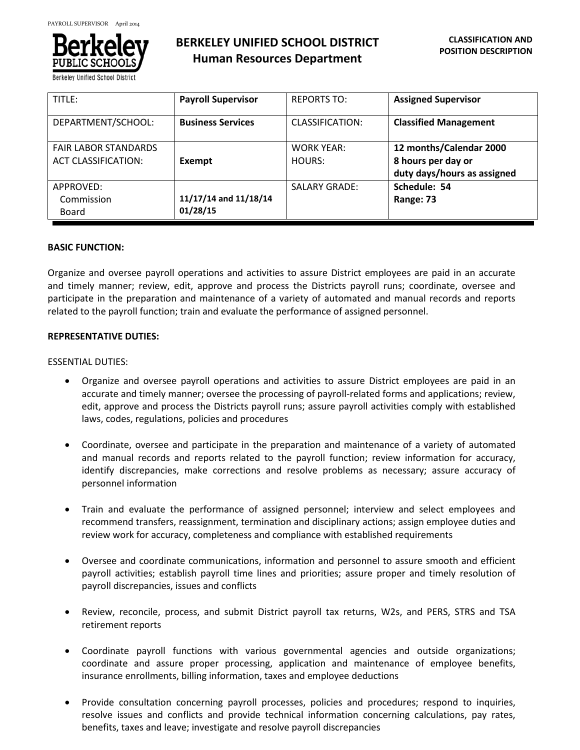

**Berkeley Unified School District** 

# **BERKELEY UNIFIED SCHOOL DISTRICT Human Resources Department**

| TITLE:                      | <b>Payroll Supervisor</b> | <b>REPORTS TO:</b>   | <b>Assigned Supervisor</b>   |
|-----------------------------|---------------------------|----------------------|------------------------------|
| DEPARTMENT/SCHOOL:          | <b>Business Services</b>  | CLASSIFICATION:      | <b>Classified Management</b> |
| <b>FAIR LABOR STANDARDS</b> |                           | <b>WORK YEAR:</b>    | 12 months/Calendar 2000      |
| <b>ACT CLASSIFICATION:</b>  | Exempt                    | HOURS:               | 8 hours per day or           |
|                             |                           |                      | duty days/hours as assigned  |
| APPROVED:                   |                           | <b>SALARY GRADE:</b> | Schedule: 54                 |
| Commission                  | 11/17/14 and 11/18/14     |                      | Range: 73                    |
| Board                       | 01/28/15                  |                      |                              |

# **BASIC FUNCTION:**

Organize and oversee payroll operations and activities to assure District employees are paid in an accurate and timely manner; review, edit, approve and process the Districts payroll runs; coordinate, oversee and participate in the preparation and maintenance of a variety of automated and manual records and reports related to the payroll function; train and evaluate the performance of assigned personnel.

# **REPRESENTATIVE DUTIES:**

# ESSENTIAL DUTIES:

- Organize and oversee payroll operations and activities to assure District employees are paid in an accurate and timely manner; oversee the processing of payroll-related forms and applications; review, edit, approve and process the Districts payroll runs; assure payroll activities comply with established laws, codes, regulations, policies and procedures
- Coordinate, oversee and participate in the preparation and maintenance of a variety of automated and manual records and reports related to the payroll function; review information for accuracy, identify discrepancies, make corrections and resolve problems as necessary; assure accuracy of personnel information
- Train and evaluate the performance of assigned personnel; interview and select employees and recommend transfers, reassignment, termination and disciplinary actions; assign employee duties and review work for accuracy, completeness and compliance with established requirements
- Oversee and coordinate communications, information and personnel to assure smooth and efficient payroll activities; establish payroll time lines and priorities; assure proper and timely resolution of payroll discrepancies, issues and conflicts
- Review, reconcile, process, and submit District payroll tax returns, W2s, and PERS, STRS and TSA retirement reports
- Coordinate payroll functions with various governmental agencies and outside organizations; coordinate and assure proper processing, application and maintenance of employee benefits, insurance enrollments, billing information, taxes and employee deductions
- Provide consultation concerning payroll processes, policies and procedures; respond to inquiries, resolve issues and conflicts and provide technical information concerning calculations, pay rates, benefits, taxes and leave; investigate and resolve payroll discrepancies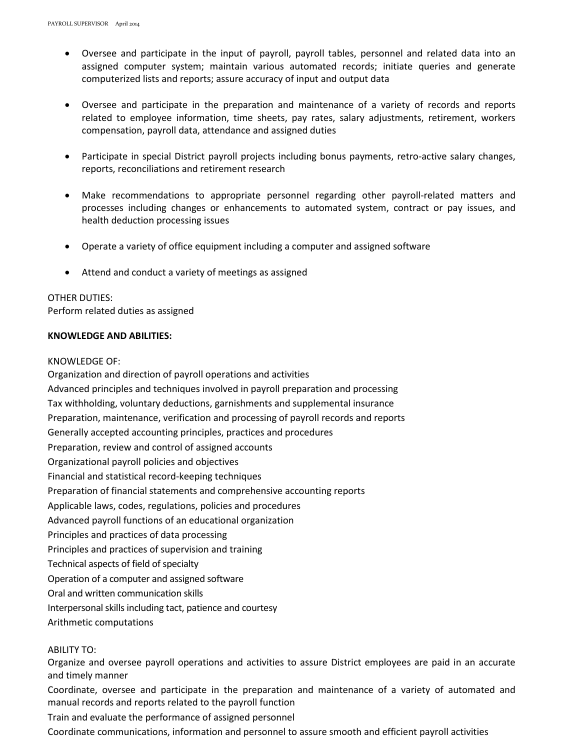- Oversee and participate in the input of payroll, payroll tables, personnel and related data into an assigned computer system; maintain various automated records; initiate queries and generate computerized lists and reports; assure accuracy of input and output data
- Oversee and participate in the preparation and maintenance of a variety of records and reports related to employee information, time sheets, pay rates, salary adjustments, retirement, workers compensation, payroll data, attendance and assigned duties
- Participate in special District payroll projects including bonus payments, retro-active salary changes, reports, reconciliations and retirement research
- Make recommendations to appropriate personnel regarding other payroll-related matters and processes including changes or enhancements to automated system, contract or pay issues, and health deduction processing issues
- Operate a variety of office equipment including a computer and assigned software
- Attend and conduct a variety of meetings as assigned

# OTHER DUTIES:

Perform related duties as assigned

# **KNOWLEDGE AND ABILITIES:**

#### KNOWLEDGE OF:

Organization and direction of payroll operations and activities Advanced principles and techniques involved in payroll preparation and processing Tax withholding, voluntary deductions, garnishments and supplemental insurance Preparation, maintenance, verification and processing of payroll records and reports Generally accepted accounting principles, practices and procedures Preparation, review and control of assigned accounts Organizational payroll policies and objectives Financial and statistical record-keeping techniques Preparation of financial statements and comprehensive accounting reports Applicable laws, codes, regulations, policies and procedures Advanced payroll functions of an educational organization Principles and practices of data processing Principles and practices of supervision and training Technical aspects of field of specialty Operation of a computer and assigned software Oral and written communication skills Interpersonal skills including tact, patience and courtesy Arithmetic computations

# ABILITY TO:

Organize and oversee payroll operations and activities to assure District employees are paid in an accurate and timely manner

Coordinate, oversee and participate in the preparation and maintenance of a variety of automated and manual records and reports related to the payroll function

Train and evaluate the performance of assigned personnel

Coordinate communications, information and personnel to assure smooth and efficient payroll activities